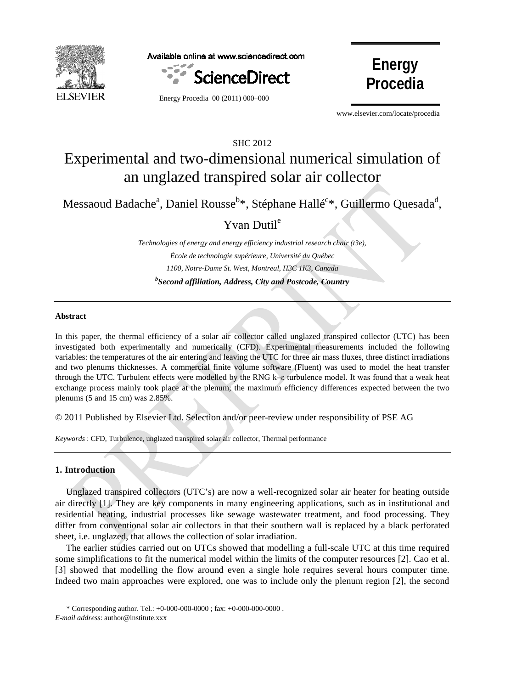

Available online at www.sciencedirect.com





Energy Procedia 00 (2011) 000–000

www.elsevier.com/locate/procedia

# SHC 2012 Experimental and two-dimensional numerical simulation of an unglazed transpired solar air collector

Messaoud Badache<sup>a</sup>, Daniel Rousse<sup>b\*</sup>, Stéphane Hallé<sup>c\*</sup>, Guillermo Quesada<sup>d</sup>,

# Yvan Dutil<sup>e</sup>

*Technologies of energy and energy efficiency industrial research chair (t3e), École de technologie supérieure, Université du Québec 1100, Notre-Dame St. West, Montreal, H3C 1K3, Canada b Second affiliation, Address, City and Postcode, Country*

# **Abstract**

In this paper, the thermal efficiency of a solar air collector called unglazed transpired collector (UTC) has been investigated both experimentally and numerically (CFD). Experimental measurements included the following variables: the temperatures of the air entering and leaving the UTC for three air mass fluxes, three distinct irradiations and two plenums thicknesses. A commercial finite volume software (Fluent) was used to model the heat transfer through the UTC. Turbulent effects were modelled by the RNG k–ε turbulence model. It was found that a weak heat exchange process mainly took place at the plenum; the maximum efficiency differences expected between the two plenums (5 and 15 cm) was 2.85%.

© 2011 Published by Elsevier Ltd. Selection and/or peer-review under responsibility of PSE AG

*Keywords* : CFD, Turbulence, unglazed transpired solar air collector, Thermal performance

#### **1. Introduction**

Unglazed transpired collectors (UTC's) are now a well-recognized solar air heater for heating outside air directly [\[1\]](#page-9-0). They are key components in many engineering applications, such as in institutional and residential heating, industrial processes like sewage wastewater treatment, and food processing. They differ from conventional solar air collectors in that their southern wall is replaced by a black perforated sheet, i.e. unglazed, that allows the collection of solar irradiation.

The earlier studies carried out on UTCs showed that modelling a full-scale UTC at this time required some simplifications to fit the numerical model within the limits of the computer resources [\[2\]](#page-9-1). Cao et al. [\[3\]](#page-9-2) showed that modelling the flow around even a single hole requires several hours computer time. Indeed two main approaches were explored, one was to include only the plenum region [\[2\]](#page-9-1), the second

<sup>\*</sup> Corresponding author. Tel.: +0-000-000-0000 ; fax: +0-000-000-0000 . *E-mail address*: author@institute.xxx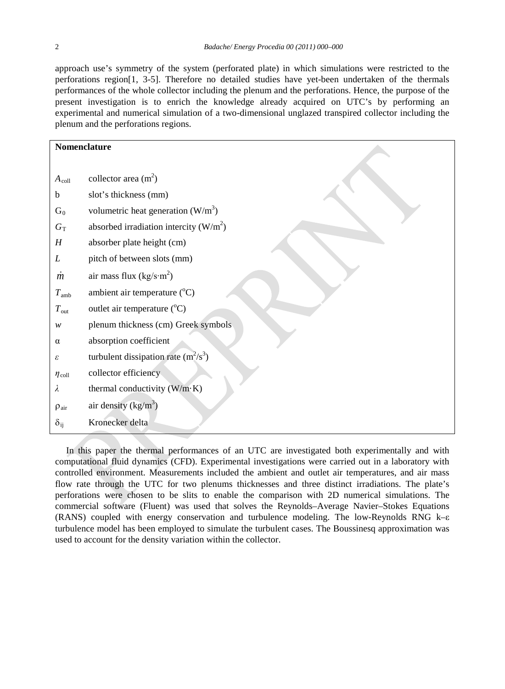approach use's symmetry of the system (perforated plate) in which simulations were restricted to the perforations region[\[1,](#page-9-0) [3-5\]](#page-9-2). Therefore no detailed studies have yet-been undertaken of the thermals performances of the whole collector including the plenum and the perforations. Hence, the purpose of the present investigation is to enrich the knowledge already acquired on UTC's by performing an experimental and numerical simulation of a two-dimensional unglazed transpired collector including the plenum and the perforations regions.

| Nomenclature        |                                          |  |  |  |
|---------------------|------------------------------------------|--|--|--|
|                     |                                          |  |  |  |
| $A_{\text{coll}}$   | collector area $(m2)$                    |  |  |  |
| b                   | slot's thickness (mm)                    |  |  |  |
| $G_0$               | volumetric heat generation $(W/m^3)$     |  |  |  |
| $G_T$               | absorbed irradiation intercity $(W/m^2)$ |  |  |  |
| $\boldsymbol{H}$    | absorber plate height (cm)               |  |  |  |
| L                   | pitch of between slots (mm)              |  |  |  |
| $\dot{m}$           | air mass flux $(kg/s·m2)$                |  |  |  |
| $T_{\rm amb}$       | ambient air temperature $(^{\circ}C)$    |  |  |  |
| $T_{\text{out}}$    | outlet air temperature $(^{\circ}C)$     |  |  |  |
| w                   | plenum thickness (cm) Greek symbols      |  |  |  |
| $\alpha$            | absorption coefficient                   |  |  |  |
| ε                   | turbulent dissipation rate $(m^2/s^3)$   |  |  |  |
| $\eta_{\rm coll}$   | collector efficiency                     |  |  |  |
| λ                   | thermal conductivity $(W/m \cdot K)$     |  |  |  |
| $\rho_{\text{air}}$ | air density $(kg/m^3)$                   |  |  |  |
| $\delta_{ij}$       | Kronecker delta                          |  |  |  |

In this paper the thermal performances of an UTC are investigated both experimentally and with computational fluid dynamics (CFD). Experimental investigations were carried out in a laboratory with controlled environment. Measurements included the ambient and outlet air temperatures, and air mass flow rate through the UTC for two plenums thicknesses and three distinct irradiations. The plate's perforations were chosen to be slits to enable the comparison with 2D numerical simulations. The commercial software (Fluent) was used that solves the Reynolds–Average Navier–Stokes Equations (RANS) coupled with energy conservation and turbulence modeling. The low-Reynolds RNG k–ε turbulence model has been employed to simulate the turbulent cases. The Boussinesq approximation was used to account for the density variation within the collector.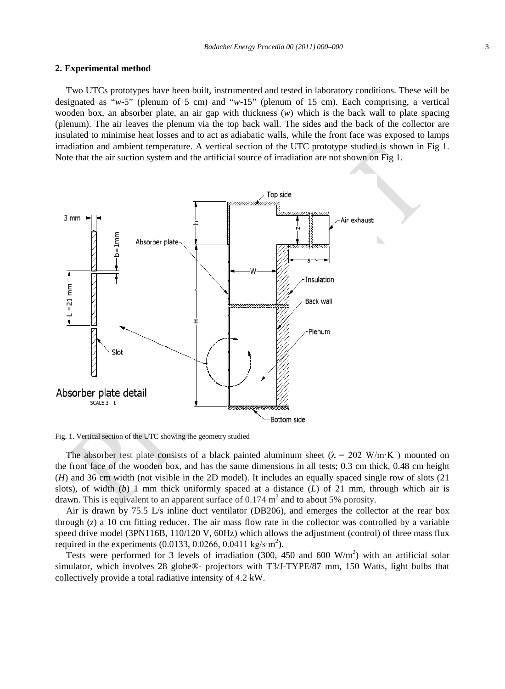#### **2. Experimental method**

Two UTCs prototypes have been built, instrumented and tested in laboratory conditions. These will be designated as "*w*-5" (plenum of 5 cm) and "*w*-15" (plenum of 15 cm). Each comprising, a vertical wooden box, an absorber plate, an air gap with thickness (*w*) which is the back wall to plate spacing (plenum). The air leaves the plenum via the top back wall. The sides and the back of the collector are insulated to minimise heat losses and to act as adiabatic walls, while the front face was exposed to lamps irradiation and ambient temperature. A vertical section of the UTC prototype studied is shown in Fig 1. Note that the air suction system and the artificial source of irradiation are not shown on Fig 1.



Fig. 1. Vertical section of the UTC showing the geometry studied

The absorber test plate consists of a black painted aluminum sheet ( $\lambda = 202$  W/m·K) mounted on the front face of the wooden box, and has the same dimensions in all tests; 0.3 cm thick, 0.48 cm height (*H*) and 36 cm width (not visible in the 2D model). It includes an equally spaced single row of slots (21 slots), of width  $(b)$  1 mm thick uniformly spaced at a distance  $(L)$  of 21 mm, through which air is drawn. This is equivalent to an apparent surface of  $0.174 \text{ m}^2$  and to about 5% porosity.

Air is drawn by 75.5  $\rm L/s$  inline duct ventilator (DB206), and emerges the collector at the rear box through (*z*) a 10 cm fitting reducer. The air mass flow rate in the collector was controlled by a variable speed drive model (3PN116B, 110/120 V, 60Hz) which allows the adjustment (control) of three mass flux required in the experiments (0.0133, 0.0266, 0.0411 kg/s⋅m<sup>2</sup>).

Tests were performed for 3 levels of irradiation (300, 450 and 600  $W/m<sup>2</sup>$ ) with an artificial solar simulator, which involves 28 globe®- projectors with T3/J-TYPE/87 mm, 150 Watts, light bulbs that collectively provide a total radiative intensity of 4.2 kW.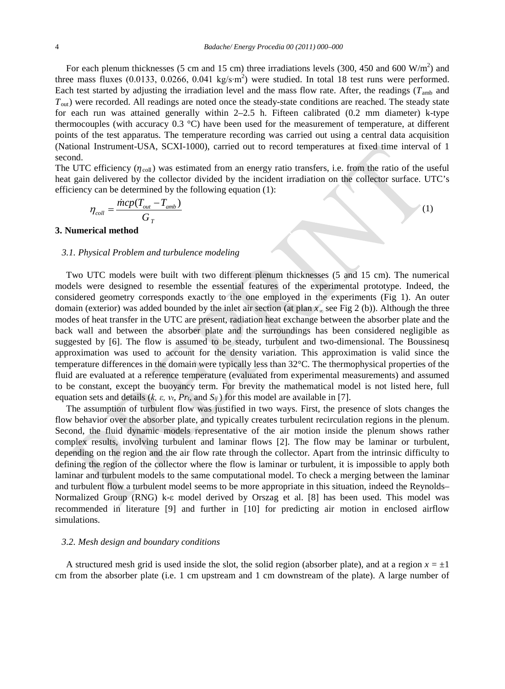For each plenum thicknesses (5 cm and 15 cm) three irradiations levels (300, 450 and 600  $W/m<sup>2</sup>$ ) and three mass fluxes (0.0133, 0.0266, 0.041 kg/s⋅m<sup>2</sup>) were studied. In total 18 test runs were performed. Each test started by adjusting the irradiation level and the mass flow rate. After, the readings ( $T_{\text{amb}}$  and  $T<sub>out</sub>$ ) were recorded. All readings are noted once the steady-state conditions are reached. The steady state for each run was attained generally within 2–2.5 h. Fifteen calibrated (0.2 mm diameter) k-type thermocouples (with accuracy  $0.3 \text{ }^{\circ}\text{C}$ ) have been used for the measurement of temperature, at different points of the test apparatus. The temperature recording was carried out using a central data acquisition (National Instrument-USA, SCXI-1000), carried out to record temperatures at fixed time interval of 1 second.

The UTC efficiency  $(\eta_{coll})$  was estimated from an energy ratio transfers, i.e. from the ratio of the useful heat gain delivered by the collector divided by the incident irradiation on the collector surface. UTC's efficiency can be determined by the following equation (1):

$$
\eta_{coll} = \frac{\text{micp}(T_{out} - T_{amb})}{G_T} \tag{1}
$$

# **3. Numerical method**

## *3.1. Physical Problem and turbulence modeling*

Two UTC models were built with two different plenum thicknesses (5 and 15 cm). The numerical models were designed to resemble the essential features of the experimental prototype. Indeed, the considered geometry corresponds exactly to the one employed in the experiments (Fig 1). An outer domain (exterior) was added bounded by the inlet air section (at plan *x<sup>∞</sup>* see Fig 2 (b)). Although the three modes of heat transfer in the UTC are present, radiation heat exchange between the absorber plate and the back wall and between the absorber plate and the surroundings has been considered negligible as suggested by [\[6\]](#page-9-3). The flow is assumed to be steady, turbulent and two-dimensional. The Boussinesq approximation was used to account for the density variation. This approximation is valid since the temperature differences in the domain were typically less than 32°C. The thermophysical properties of the fluid are evaluated at a reference temperature (evaluated from experimental measurements) and assumed to be constant, except the buoyancy term. For brevity the mathematical model is not listed here, full equation sets and details (*k, ε, νt, Prt,* and *Sij* ) for this model are available in [\[7\]](#page-9-4).

The assumption of turbulent flow was justified in two ways. First, the presence of slots changes the flow behavior over the absorber plate, and typically creates turbulent recirculation regions in the plenum. Second, the fluid dynamic models representative of the air motion inside the plenum shows rather complex results, involving turbulent and laminar flows [\[2\]](#page-9-1). The flow may be laminar or turbulent, depending on the region and the air flow rate through the collector. Apart from the intrinsic difficulty to defining the region of the collector where the flow is laminar or turbulent, it is impossible to apply both laminar and turbulent models to the same computational model. To check a merging between the laminar and turbulent flow a turbulent model seems to be more appropriate in this situation, indeed the Reynolds– Normalized Group (RNG) k-ε model derived by Orszag et al. [\[8\]](#page-9-5) has been used. This model was recommended in literature [\[9\]](#page-9-6) and further in [\[10\]](#page-9-7) for predicting air motion in enclosed airflow simulations.

### *3.2. Mesh design and boundary conditions*

A structured mesh grid is used inside the slot, the solid region (absorber plate), and at a region  $x = \pm 1$ cm from the absorber plate (i.e. 1 cm upstream and 1 cm downstream of the plate). A large number of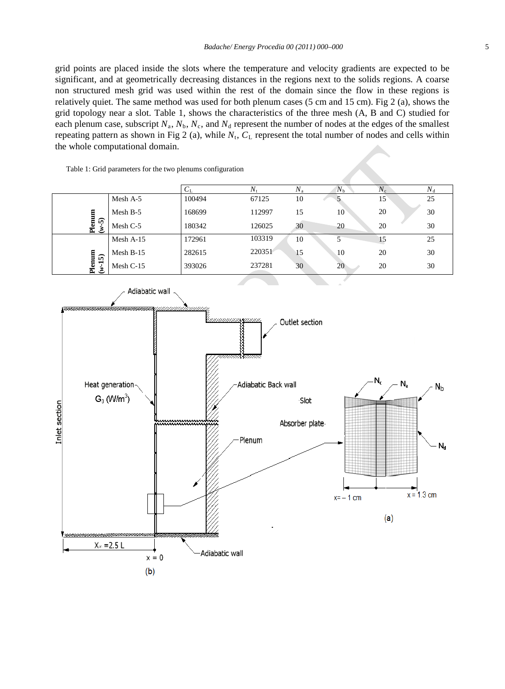grid points are placed inside the slots where the temperature and velocity gradients are expected to be significant, and at geometrically decreasing distances in the regions next to the solids regions. A coarse non structured mesh grid was used within the rest of the domain since the flow in these regions is relatively quiet. The same method was used for both plenum cases (5 cm and 15 cm). Fig 2 (a), shows the grid topology near a slot. Table 1, shows the characteristics of the three mesh (A, B and C) studied for each plenum case, subscript  $N_a$ ,  $N_b$ ,  $N_c$ , and  $N_d$  represent the number of nodes at the edges of the smallest repeating pattern as shown in Fig 2 (a), while  $N_t$ ,  $C_L$  represent the total number of nodes and cells within the whole computational domain.

Table 1: Grid parameters for the two plenums configuration

|                    |             | $C_{\rm L}$ | $N_{\rm t}$ | $N_{\rm a}$ | $N_{\rm b}$ | $N_{\rm c}$ | $N_{\rm d}$ |
|--------------------|-------------|-------------|-------------|-------------|-------------|-------------|-------------|
|                    | Mesh A-5    | 100494      | 67125       | 10          |             | 15          | 25          |
| 目                  | Mesh B-5    | 168699      | 112997      | 15          | 10          | 20          | 30          |
| Plemu<br>$(4-5)$   | Mesh C-5    | 180342      | 126025      | 30          | 20          | 20          | 30          |
|                    | Mesh $A-15$ | 172961      | 103319      | 10          |             | 15          | 25          |
|                    | Mesh $B-15$ | 282615      | 220351      | 15          | 10          | 20          | 30          |
| Plenum<br>$(w-15)$ | Mesh C-15   | 393026      | 237281      | 30          | 20          | 20          | 30          |

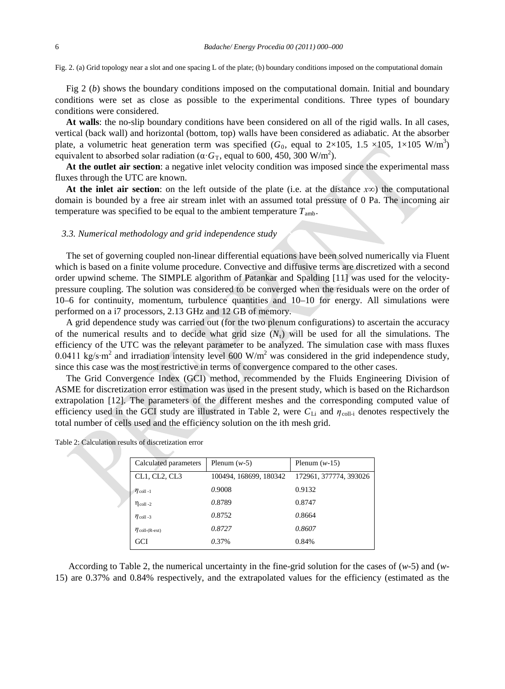Fig. 2. (a) Grid topology near a slot and one spacing L of the plate; (b) boundary conditions imposed on the computational domain

Fig 2 (*b*) shows the boundary conditions imposed on the computational domain. Initial and boundary conditions were set as close as possible to the experimental conditions. Three types of boundary conditions were considered.

**At walls**: the no-slip boundary conditions have been considered on all of the rigid walls. In all cases, vertical (back wall) and horizontal (bottom, top) walls have been considered as adiabatic. At the absorber plate, a volumetric heat generation term was specified  $(G_0,$  equal to  $2\times105$ ,  $1.5\times105$ ,  $1\times105$  W/m<sup>3</sup>) equivalent to absorbed solar radiation ( $\alpha$ · $G_T$ , equal to 600, 450, 300 W/m<sup>2</sup>).

**At the outlet air section**: a negative inlet velocity condition was imposed since the experimental mass fluxes through the UTC are known.

**At the inlet air section**: on the left outside of the plate (i.e. at the distance *x∞*) the computational domain is bounded by a free air stream inlet with an assumed total pressure of 0 Pa. The incoming air temperature was specified to be equal to the ambient temperature  $T_{\text{amb}}$ .

#### *3.3. Numerical methodology and grid independence study*

The set of governing coupled non-linear differential equations have been solved numerically via Fluent which is based on a finite volume procedure. Convective and diffusive terms are discretized with a second order upwind scheme. The SIMPLE algorithm of Patankar and Spalding [\[11\]](#page-9-8) was used for the velocitypressure coupling. The solution was considered to be converged when the residuals were on the order of 10–6 for continuity, momentum, turbulence quantities and 10–10 for energy. All simulations were performed on a i7 processors, 2.13 GHz and 12 GB of memory.

A grid dependence study was carried out (for the two plenum configurations) to ascertain the accuracy of the numerical results and to decide what grid size  $(N<sub>t</sub>)$  will be used for all the simulations. The efficiency of the UTC was the relevant parameter to be analyzed. The simulation case with mass fluxes 0.0411 kg/s∙m<sup>2</sup> and irradiation intensity level 600 W/m2 was considered in the grid independence study, since this case was the most restrictive in terms of convergence compared to the other cases.

The Grid Convergence Index (GCI) method, recommended by the Fluids Engineering Division of ASME for discretization error estimation was used in the present study, which is based on the Richardson extrapolation [\[12\]](#page-9-9). The parameters of the different meshes and the corresponding computed value of efficiency used in the GCI study are illustrated in Table 2, were  $C_{Li}$  and  $\eta_{coll-i}$  denotes respectively the total number of cells used and the efficiency solution on the ith mesh grid.

| Calculated parameters  | Plenum $(w-5)$         | Plenum $(w-15)$        |  |  |
|------------------------|------------------------|------------------------|--|--|
| CL1, CL2, CL3          | 100494, 168699, 180342 | 172961, 377774, 393026 |  |  |
| $\eta$ coll -1         | 0.9008                 | 0.9132                 |  |  |
| $\eta_{\text{coll-2}}$ | 0.8789                 | 0.8747                 |  |  |
| $\eta$ coll -3         | 0.8752                 | 0.8664                 |  |  |
| $\eta$ coll-(R-ext)    | 0.8727                 | 0.8607                 |  |  |
| GCI                    | 0.37%                  | 0.84%                  |  |  |
|                        |                        |                        |  |  |

Table 2: Calculation results of discretization error

According to Table 2, the numerical uncertainty in the fine-grid solution for the cases of (*w*-5) and (*w*-15) are 0.37% and 0.84% respectively, and the extrapolated values for the efficiency (estimated as the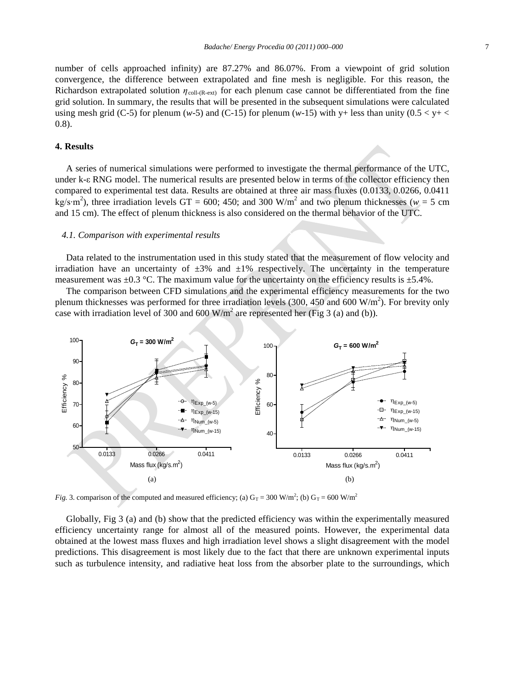number of cells approached infinity) are 87.27% and 86.07%. From a viewpoint of grid solution convergence, the difference between extrapolated and fine mesh is negligible. For this reason, the Richardson extrapolated solution *η*<sub>coll-(R-ext)</sub> for each plenum case cannot be differentiated from the fine grid solution. In summary, the results that will be presented in the subsequent simulations were calculated using mesh grid (C-5) for plenum ( $w$ -5) and (C-15) for plenum ( $w$ -15) with y+ less than unity ( $0.5 < y + <$ 0.8).

# **4. Results**

A series of numerical simulations were performed to investigate the thermal performance of the UTC, under k-ε RNG model. The numerical results are presented below in terms of the collector efficiency then compared to experimental test data. Results are obtained at three air mass fluxes (0.0133, 0.0266, 0.0411 kg/s⋅m<sup>2</sup>), three irradiation levels GT = 600; 450; and 300 W/m<sup>2</sup> and two plenum thicknesses ( $w = 5$  cm and 15 cm). The effect of plenum thickness is also considered on the thermal behavior of the UTC.

# *4.1. Comparison with experimental results*

Data related to the instrumentation used in this study stated that the measurement of flow velocity and irradiation have an uncertainty of  $\pm 3\%$  and  $\pm 1\%$  respectively. The uncertainty in the temperature measurement was  $\pm 0.3$  °C. The maximum value for the uncertainty on the efficiency results is  $\pm 5.4$ %.

The comparison between CFD simulations and the experimental efficiency measurements for the two plenum thicknesses was performed for three irradiation levels (300, 450 and 600 W/m<sup>2</sup>). For brevity only case with irradiation level of 300 and 600  $W/m<sup>2</sup>$  are represented her (Fig 3 (a) and (b)).



*Fig.* 3. comparison of the computed and measured efficiency; (a)  $G_T = 300$  W/m<sup>2</sup>; (b)  $G_T = 600$  W/m<sup>2</sup>

Globally, Fig 3 (a) and (b) show that the predicted efficiency was within the experimentally measured efficiency uncertainty range for almost all of the measured points. However, the experimental data obtained at the lowest mass fluxes and high irradiation level shows a slight disagreement with the model predictions. This disagreement is most likely due to the fact that there are unknown experimental inputs such as turbulence intensity, and radiative heat loss from the absorber plate to the surroundings, which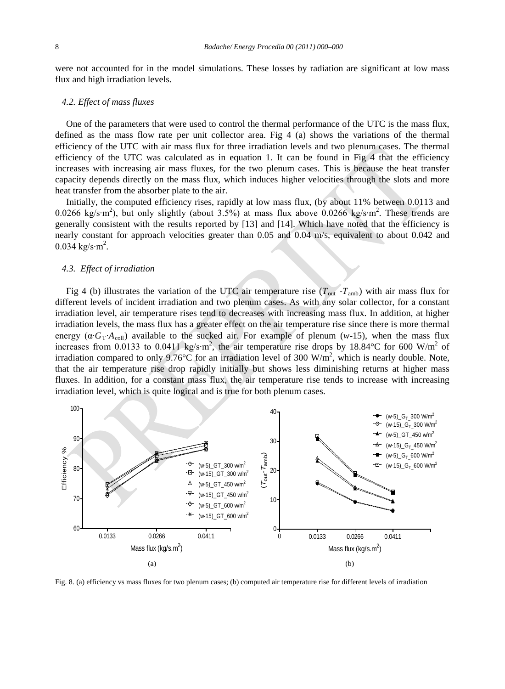were not accounted for in the model simulations. These losses by radiation are significant at low mass flux and high irradiation levels.

#### *4.2. Effect of mass fluxes*

One of the parameters that were used to control the thermal performance of the UTC is the mass flux, defined as the mass flow rate per unit collector area. Fig 4 (a) shows the variations of the thermal efficiency of the UTC with air mass flux for three irradiation levels and two plenum cases. The thermal efficiency of the UTC was calculated as in equation 1. It can be found in Fig 4 that the efficiency increases with increasing air mass fluxes, for the two plenum cases. This is because the heat transfer capacity depends directly on the mass flux, which induces higher velocities through the slots and more heat transfer from the absorber plate to the air.

Initially, the computed efficiency rises, rapidly at low mass flux, (by about 11% between 0.0113 and 0.0266 kg/s⋅m<sup>2</sup>), but only slightly (about 3.5%) at mass flux above 0.0266 kg/s⋅m<sup>2</sup>. These trends are generally consistent with the results reported by [\[13\]](#page-9-10) and [\[14\]](#page-9-11). Which have noted that the efficiency is nearly constant for approach velocities greater than 0.05 and 0.04 m/s, equivalent to about 0.042 and 0.034 kg/s⋅m<sup>2</sup>.

# *4.3. Effect of irradiation*

Fig 4 (b) illustrates the variation of the UTC air temperature rise ( $T_{\text{out}}$ - $T_{\text{amb}}$ ) with air mass flux for different levels of incident irradiation and two plenum cases. As with any solar collector, for a constant irradiation level, air temperature rises tend to decreases with increasing mass flux. In addition, at higher irradiation levels, the mass flux has a greater effect on the air temperature rise since there is more thermal energy ( $\alpha$ ⋅*G*<sub>T</sub>⋅*A*<sub>coll</sub>) available to the sucked air. For example of plenum (*w*-15), when the mass flux increases from 0.0133 to 0.0411 kg/s⋅m<sup>2</sup>, the air temperature rise drops by 18.84°C for 600 W/m<sup>2</sup> of irradiation compared to only 9.76°C for an irradiation level of 300 W/m<sup>2</sup>, which is nearly double. Note, that the air temperature rise drop rapidly initially but shows less diminishing returns at higher mass fluxes. In addition, for a constant mass flux, the air temperature rise tends to increase with increasing irradiation level, which is quite logical and is true for both plenum cases.



Fig. 8. (a) efficiency vs mass fluxes for two plenum cases; (b) computed air temperature rise for different levels of irradiation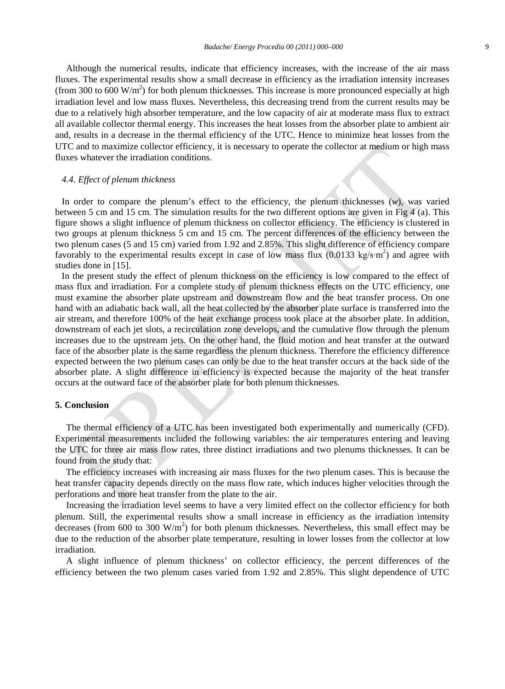Although the numerical results, indicate that efficiency increases, with the increase of the air mass fluxes. The experimental results show a small decrease in efficiency as the irradiation intensity increases (from 300 to 600  $W/m<sup>2</sup>$ ) for both plenum thicknesses. This increase is more pronounced especially at high irradiation level and low mass fluxes. Nevertheless, this decreasing trend from the current results may be due to a relatively high absorber temperature, and the low capacity of air at moderate mass flux to extract all available collector thermal energy. This increases the heat losses from the absorber plate to ambient air and, results in a decrease in the thermal efficiency of the UTC. Hence to minimize heat losses from the UTC and to maximize collector efficiency, it is necessary to operate the collector at medium or high mass fluxes whatever the irradiation conditions.

# *4.4. Effect of plenum thickness*

In order to compare the plenum's effect to the efficiency, the plenum thicknesses (*w*), was varied between 5 cm and 15 cm. The simulation results for the two different options are given in Fig 4 (a). This figure shows a slight influence of plenum thickness on collector efficiency. The efficiency is clustered in two groups at plenum thickness 5 cm and 15 cm. The percent differences of the efficiency between the two plenum cases (5 and 15 cm) varied from 1.92 and 2.85%. This slight difference of efficiency compare favorably to the experimental results except in case of low mass flux (0.0133 kg/s⋅m<sup>2</sup>) and agree with studies done in [\[15\]](#page-9-12).

In the present study the effect of plenum thickness on the efficiency is low compared to the effect of mass flux and irradiation. For a complete study of plenum thickness effects on the UTC efficiency, one must examine the absorber plate upstream and downstream flow and the heat transfer process. On one hand with an adiabatic back wall, all the heat collected by the absorber plate surface is transferred into the air stream, and therefore 100% of the heat exchange process took place at the absorber plate. In addition, downstream of each jet slots, a recirculation zone develops, and the cumulative flow through the plenum increases due to the upstream jets. On the other hand, the fluid motion and heat transfer at the outward face of the absorber plate is the same regardless the plenum thickness. Therefore the efficiency difference expected between the two plenum cases can only be due to the heat transfer occurs at the back side of the absorber plate. A slight difference in efficiency is expected because the majority of the heat transfer occurs at the outward face of the absorber plate for both plenum thicknesses.

### **5. Conclusion**

The thermal efficiency of a UTC has been investigated both experimentally and numerically (CFD). Experimental measurements included the following variables: the air temperatures entering and leaving the UTC for three air mass flow rates, three distinct irradiations and two plenums thicknesses. It can be found from the study that:

The efficiency increases with increasing air mass fluxes for the two plenum cases. This is because the heat transfer capacity depends directly on the mass flow rate, which induces higher velocities through the perforations and more heat transfer from the plate to the air.

Increasing the irradiation level seems to have a very limited effect on the collector efficiency for both plenum. Still, the experimental results show a small increase in efficiency as the irradiation intensity decreases (from 600 to 300  $W/m<sup>2</sup>$ ) for both plenum thicknesses. Nevertheless, this small effect may be due to the reduction of the absorber plate temperature, resulting in lower losses from the collector at low irradiation.

A slight influence of plenum thickness' on collector efficiency, the percent differences of the efficiency between the two plenum cases varied from 1.92 and 2.85%. This slight dependence of UTC